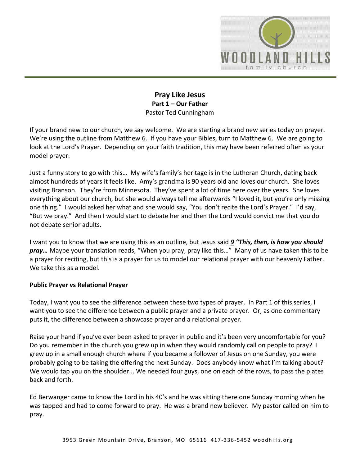

### **Pray Like Jesus Part 1 – Our Father**  Pastor Ted Cunningham

If your brand new to our church, we say welcome. We are starting a brand new series today on prayer. We're using the outline from Matthew 6. If you have your Bibles, turn to Matthew 6. We are going to look at the Lord's Prayer. Depending on your faith tradition, this may have been referred often as your model prayer.

Just a funny story to go with this… My wife's family's heritage is in the Lutheran Church, dating back almost hundreds of years it feels like. Amy's grandma is 90 years old and loves our church. She loves visiting Branson. They're from Minnesota. They've spent a lot of time here over the years. She loves everything about our church, but she would always tell me afterwards "I loved it, but you're only missing one thing." I would asked her what and she would say, "You don't recite the Lord's Prayer." I'd say, "But we pray." And then I would start to debate her and then the Lord would convict me that you do not debate senior adults.

I want you to know that we are using this as an outline, but Jesus said *[9](http://www.studylight.org/desk/?q=mt%206:9&t1=en_niv&sr=1) "This, then, is how you should pray…* Maybe your translation reads, "When you pray, pray like this…" Many of us have taken this to be a prayer for reciting, but this is a prayer for us to model our relational prayer with our heavenly Father. We take this as a model.

#### **Public Prayer vs Relational Prayer**

Today, I want you to see the difference between these two types of prayer. In Part 1 of this series, I want you to see the difference between a public prayer and a private prayer. Or, as one commentary puts it, the difference between a showcase prayer and a relational prayer.

Raise your hand if you've ever been asked to prayer in public and it's been very uncomfortable for you? Do you remember in the church you grew up in when they would randomly call on people to pray? I grew up in a small enough church where if you became a follower of Jesus on one Sunday, you were probably going to be taking the offering the next Sunday. Does anybody know what I'm talking about? We would tap you on the shoulder... We needed four guys, one on each of the rows, to pass the plates back and forth.

Ed Berwanger came to know the Lord in his 40's and he was sitting there one Sunday morning when he was tapped and had to come forward to pray. He was a brand new believer. My pastor called on him to pray.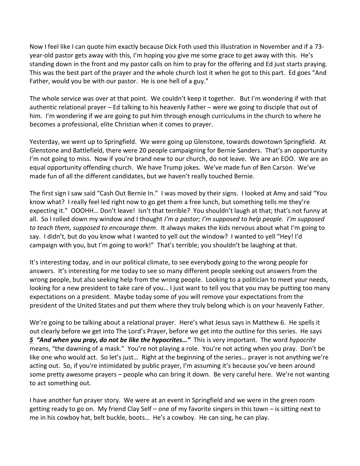Now I feel like I can quote him exactly because Dick Foth used this illustration in November and if a 73 year-old pastor gets away with this, I'm hoping you give me some grace to get away with this. He's standing down in the front and my pastor calls on him to pray for the offering and Ed just starts praying. This was the best part of the prayer and the whole church lost it when he got to this part. Ed goes "And Father, would you be with our pastor. He is one hell of a guy."

The whole service was over at that point. We couldn't keep it together. But I'm wondering if with that authentic relational prayer – Ed talking to his heavenly Father – were we going to disciple that out of him. I'm wondering if we are going to put him through enough curriculums in the church to where he becomes a professional, elite Christian when it comes to prayer.

Yesterday, we went up to Springfield. We were going up Glenstone, towards downtown Springfield. At Glenstone and Battlefield, there were 20 people campaigning for Bernie Sanders. That's an opportunity I'm not going to miss. Now if you're brand new to our church, do not leave. We are an EOO. We are an equal opportunity offending church. We have Trump jokes. We've made fun of Ben Carson. We've made fun of all the different candidates, but we haven't really touched Bernie.

The first sign I saw said "Cash Out Bernie In." I was moved by their signs. I looked at Amy and said "You know what? I really feel led right now to go get them a free lunch, but something tells me they're expecting it." OOOHH... Don't leave! Isn't that terrible? You shouldn't laugh at that; that's not funny at all. So I rolled down my window and I thought *I'm a pastor; I'm supposed to help people. I'm supposed to teach them, supposed to encourage them*. It always makes the kids nervous about what I'm going to say. I didn't, but do you know what I wanted to yell out the window? I wanted to yell "Hey! I'd campaign with you, but I'm going to work!" That's terrible; you shouldn't be laughing at that.

It's interesting today, and in our political climate, to see everybody going to the wrong people for answers. It's interesting for me today to see so many different people seeking out answers from the wrong people, but also seeking help from the wrong people. Looking to a politician to meet your needs, looking for a new president to take care of you… I just want to tell you that you may be putting too many expectations on a president. Maybe today some of you will remove your expectations from the president of the United States and put them where they truly belong which is on your heavenly Father.

We're going to be talking about a relational prayer. Here's what Jesus says in Matthew 6. He spells it out clearly before we get into The Lord's Prayer, before we get into the outline for this series. He says *[5](http://www.studylight.org/desk/?q=mt%206:5&t1=en_niv&sr=1) "And when you pray, do not be like the hypocrites…"* This is very important. The word *hypocrite* means, "the dawning of a mask." You're not playing a role. You're not acting when you pray. Don't be like one who would act. So let's just… Right at the beginning of the series… prayer is not anything we're acting out. So, if you're intimidated by public prayer, I'm assuming it's because you've been around some pretty awesome prayers – people who can bring it down. Be very careful here. We're not wanting to act something out.

I have another fun prayer story. We were at an event in Springfield and we were in the green room getting ready to go on. My friend Clay Self – one of my favorite singers in this town – is sitting next to me in his cowboy hat, belt buckle, boots… He's a cowboy. He can sing, he can play.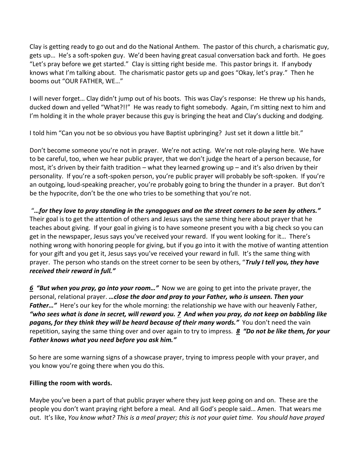Clay is getting ready to go out and do the National Anthem. The pastor of this church, a charismatic guy, gets up… He's a soft-spoken guy. We'd been having great casual conversation back and forth. He goes "Let's pray before we get started." Clay is sitting right beside me. This pastor brings it. If anybody knows what I'm talking about. The charismatic pastor gets up and goes "Okay, let's pray." Then he booms out "OUR FATHER, WE…"

I will never forget… Clay didn't jump out of his boots. This was Clay's response: He threw up his hands, ducked down and yelled "What?!!" He was ready to fight somebody. Again, I'm sitting next to him and I'm holding it in the whole prayer because this guy is bringing the heat and Clay's ducking and dodging.

I told him "Can you not be so obvious you have Baptist upbringing? Just set it down a little bit."

Don't become someone you're not in prayer. We're not acting. We're not role-playing here. We have to be careful, too, when we hear public prayer, that we don't judge the heart of a person because, for most, it's driven by their faith tradition – what they learned growing up – and it's also driven by their personality. If you're a soft-spoken person, you're public prayer will probably be soft-spoken. If you're an outgoing, loud-speaking preacher, you're probably going to bring the thunder in a prayer. But don't be the hypocrite, don't be the one who tries to be something that you're not.

"*…for they love to pray standing in the synagogues and on the street corners to be seen by others."* Their goal is to get the attention of others and Jesus says the same thing here about prayer that he teaches about giving. If your goal in giving is to have someone present you with a big check so you can get in the newspaper, Jesus says you've received your reward. If you went looking for it… There's nothing wrong with honoring people for giving, but if you go into it with the motive of wanting attention for your gift and you get it, Jesus says you've received your reward in full. It's the same thing with prayer. The person who stands on the street corner to be seen by others, "*Truly I tell you, they have received their reward in full."* 

*[6](http://www.studylight.org/desk/?q=mt%206:6&t1=en_niv&sr=1) "But when you pray, go into your room…"* Now we are going to get into the private prayer, the personal, relational prayer. *…close the door and pray to your Father, who is unseen. Then your Father…"* Here's our key for the whole morning: the relationship we have with our heavenly Father, *"who sees what is done in secret, will reward you. [7](http://www.studylight.org/desk/?q=mt%206:7&t1=en_niv&sr=1) And when you pray, do not keep on babbling like pagans, for they think they will be heard because of their many words."* You don't need the vain repetition, saying the same thing over and over again to try to impress. *[8](http://www.studylight.org/desk/?q=mt%206:8&t1=en_niv&sr=1) "Do not be like them, for your Father knows what you need before you ask him."*

So here are some warning signs of a showcase prayer, trying to impress people with your prayer, and you know you're going there when you do this.

#### **Filling the room with words.**

Maybe you've been a part of that public prayer where they just keep going on and on. These are the people you don't want praying right before a meal. And all God's people said… Amen. That wears me out. It's like, *You know what? This is a meal prayer; this is not your quiet time. You should have prayed*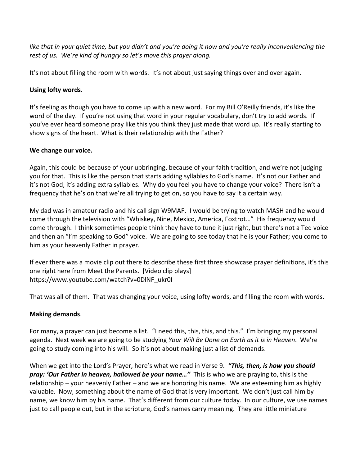*like that in your quiet time, but you didn't and you're doing it now and you're really inconveniencing the rest of us. We're kind of hungry so let's move this prayer along.*

It's not about filling the room with words. It's not about just saying things over and over again.

## **Using lofty words**.

It's feeling as though you have to come up with a new word. For my Bill O'Reilly friends, it's like the word of the day. If you're not using that word in your regular vocabulary, don't try to add words. If you've ever heard someone pray like this you think they just made that word up. It's really starting to show signs of the heart. What is their relationship with the Father?

## **We change our voice.**

Again, this could be because of your upbringing, because of your faith tradition, and we're not judging you for that. This is like the person that starts adding syllables to God's name. It's not our Father and it's not God, it's adding extra syllables. Why do you feel you have to change your voice? There isn't a frequency that he's on that we're all trying to get on, so you have to say it a certain way.

My dad was in amateur radio and his call sign W9MAF. I would be trying to watch MASH and he would come through the television with "Whiskey, Nine, Mexico, America, Foxtrot…" His frequency would come through. I think sometimes people think they have to tune it just right, but there's not a Ted voice and then an "I'm speaking to God" voice. We are going to see today that he is your Father; you come to him as your heavenly Father in prayer.

If ever there was a movie clip out there to describe these first three showcase prayer definitions, it's this one right here from Meet the Parents. [Video clip plays] [https://www.youtube.com/watch?v=0DlNF\\_ukr0I](https://www.youtube.com/watch?v=0DlNF_ukr0I) 

That was all of them. That was changing your voice, using lofty words, and filling the room with words.

# **Making demands**.

For many, a prayer can just become a list. "I need this, this, this, and this." I'm bringing my personal agenda. Next week we are going to be studying *Your Will Be Done on Earth as it is in Heaven*. We're going to study coming into his will. So it's not about making just a list of demands.

When we get into the Lord's Prayer, here's what we read in Verse 9. *"This, then, is how you should pray: 'Our Father in heaven, hallowed be your name…"*This is who we are praying to, this is the relationship – your heavenly Father – and we are honoring his name. We are esteeming him as highly valuable. Now, something about the name of God that is very important. We don't just call him by name, we know him by his name. That's different from our culture today. In our culture, we use names just to call people out, but in the scripture, God's names carry meaning. They are little miniature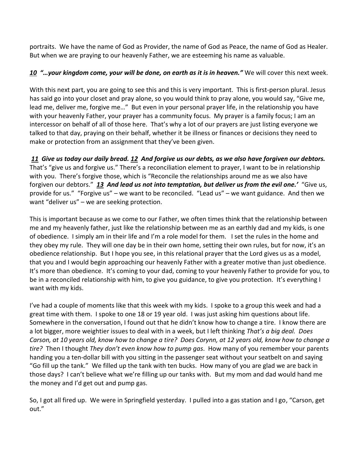portraits. We have the name of God as Provider, the name of God as Peace, the name of God as Healer. But when we are praying to our heavenly Father, we are esteeming his name as valuable.

# *[10](http://www.studylight.org/desk/?q=mt%206:10&t1=en_niv&sr=1) "…your kingdom come, your will be done, on earth as it is in heaven."* We will cover this next week.

With this next part, you are going to see this and this is very important. This is first-person plural. Jesus has said go into your closet and pray alone, so you would think to pray alone, you would say, "Give me, lead me, deliver me, forgive me…" But even in your personal prayer life, in the relationship you have with your heavenly Father, your prayer has a community focus. My prayer is a family focus; I am an intercessor on behalf of all of those here. That's why a lot of our prayers are just listing everyone we talked to that day, praying on their behalf, whether it be illness or finances or decisions they need to make or protection from an assignment that they've been given.

*[11](http://www.studylight.org/desk/?q=mt%206:11&t1=en_niv&sr=1) Give us today our daily bread. [12](http://www.studylight.org/desk/?q=mt%206:12&t1=en_niv&sr=1) And forgive us our debts, as we also have forgiven our debtors.*  That's "give us and forgive us." There's a reconciliation element to prayer, I want to be in relationship with you. There's forgive those, which is "Reconcile the relationships around me as we also have forgiven our debtors." *[13](http://www.studylight.org/desk/?q=mt%206:13&t1=en_niv&sr=1) And lead us not into temptation, but deliver us from the evil one.'* "Give us, provide for us." "Forgive us" – we want to be reconciled. "Lead us" – we want guidance. And then we want "deliver us" – we are seeking protection.

This is important because as we come to our Father, we often times think that the relationship between me and my heavenly father, just like the relationship between me as an earthly dad and my kids, is one of obedience. I simply am in their life and I'm a role model for them. I set the rules in the home and they obey my rule. They will one day be in their own home, setting their own rules, but for now, it's an obedience relationship. But I hope you see, in this relational prayer that the Lord gives us as a model, that you and I would begin approaching our heavenly Father with a greater motive than just obedience. It's more than obedience. It's coming to your dad, coming to your heavenly Father to provide for you, to be in a reconciled relationship with him, to give you guidance, to give you protection. It's everything I want with my kids.

I've had a couple of moments like that this week with my kids. I spoke to a group this week and had a great time with them. I spoke to one 18 or 19 year old. I was just asking him questions about life. Somewhere in the conversation, I found out that he didn't know how to change a tire. I know there are a lot bigger, more weightier issues to deal with in a week, but I left thinking *That's a big deal. Does Carson, at 10 years old, know how to change a tire? Does Corynn, at 12 years old, know how to change a tire?* Then I thought *They don't even know how to pump gas*. How many of you remember your parents handing you a ten-dollar bill with you sitting in the passenger seat without your seatbelt on and saying "Go fill up the tank." We filled up the tank with ten bucks. How many of you are glad we are back in those days? I can't believe what we're filling up our tanks with. But my mom and dad would hand me the money and I'd get out and pump gas.

So, I got all fired up. We were in Springfield yesterday. I pulled into a gas station and I go, "Carson, get out."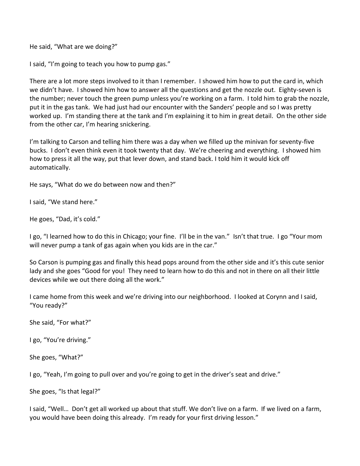He said, "What are we doing?"

I said, "I'm going to teach you how to pump gas."

There are a lot more steps involved to it than I remember. I showed him how to put the card in, which we didn't have. I showed him how to answer all the questions and get the nozzle out. Eighty-seven is the number; never touch the green pump unless you're working on a farm. I told him to grab the nozzle, put it in the gas tank. We had just had our encounter with the Sanders' people and so I was pretty worked up. I'm standing there at the tank and I'm explaining it to him in great detail. On the other side from the other car, I'm hearing snickering.

I'm talking to Carson and telling him there was a day when we filled up the minivan for seventy-five bucks. I don't even think even it took twenty that day. We're cheering and everything. I showed him how to press it all the way, put that lever down, and stand back. I told him it would kick off automatically.

He says, "What do we do between now and then?"

I said, "We stand here."

He goes, "Dad, it's cold."

I go, "I learned how to do this in Chicago; your fine. I'll be in the van." Isn't that true. I go "Your mom will never pump a tank of gas again when you kids are in the car."

So Carson is pumping gas and finally this head pops around from the other side and it's this cute senior lady and she goes "Good for you! They need to learn how to do this and not in there on all their little devices while we out there doing all the work."

I came home from this week and we're driving into our neighborhood. I looked at Corynn and I said, "You ready?"

She said, "For what?"

I go, "You're driving."

She goes, "What?"

I go, "Yeah, I'm going to pull over and you're going to get in the driver's seat and drive."

She goes, "Is that legal?"

I said, "Well… Don't get all worked up about that stuff. We don't live on a farm. If we lived on a farm, you would have been doing this already. I'm ready for your first driving lesson."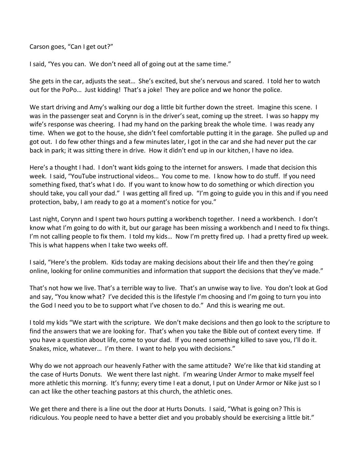Carson goes, "Can I get out?"

I said, "Yes you can. We don't need all of going out at the same time."

She gets in the car, adjusts the seat… She's excited, but she's nervous and scared. I told her to watch out for the PoPo… Just kidding! That's a joke! They are police and we honor the police.

We start driving and Amy's walking our dog a little bit further down the street. Imagine this scene. I was in the passenger seat and Corynn is in the driver's seat, coming up the street. I was so happy my wife's response was cheering. I had my hand on the parking break the whole time. I was ready any time. When we got to the house, she didn't feel comfortable putting it in the garage. She pulled up and got out. I do few other things and a few minutes later, I got in the car and she had never put the car back in park; it was sitting there in drive. How it didn't end up in our kitchen, I have no idea.

Here's a thought I had. I don't want kids going to the internet for answers. I made that decision this week. I said, "YouTube instructional videos… You come to me. I know how to do stuff. If you need something fixed, that's what I do. If you want to know how to do something or which direction you should take, you call your dad." I was getting all fired up. "I'm going to guide you in this and if you need protection, baby, I am ready to go at a moment's notice for you."

Last night, Corynn and I spent two hours putting a workbench together. I need a workbench. I don't know what I'm going to do with it, but our garage has been missing a workbench and I need to fix things. I'm not calling people to fix them. I told my kids... Now I'm pretty fired up. I had a pretty fired up week. This is what happens when I take two weeks off.

I said, "Here's the problem. Kids today are making decisions about their life and then they're going online, looking for online communities and information that support the decisions that they've made."

That's not how we live. That's a terrible way to live. That's an unwise way to live. You don't look at God and say, "You know what? I've decided this is the lifestyle I'm choosing and I'm going to turn you into the God I need you to be to support what I've chosen to do." And this is wearing me out.

I told my kids "We start with the scripture. We don't make decisions and then go look to the scripture to find the answers that we are looking for. That's when you take the Bible out of context every time. If you have a question about life, come to your dad. If you need something killed to save you, I'll do it. Snakes, mice, whatever… I'm there. I want to help you with decisions."

Why do we not approach our heavenly Father with the same attitude? We're like that kid standing at the case of Hurts Donuts. We went there last night. I'm wearing Under Armor to make myself feel more athletic this morning. It's funny; every time I eat a donut, I put on Under Armor or Nike just so I can act like the other teaching pastors at this church, the athletic ones.

We get there and there is a line out the door at Hurts Donuts. I said, "What is going on? This is ridiculous. You people need to have a better diet and you probably should be exercising a little bit."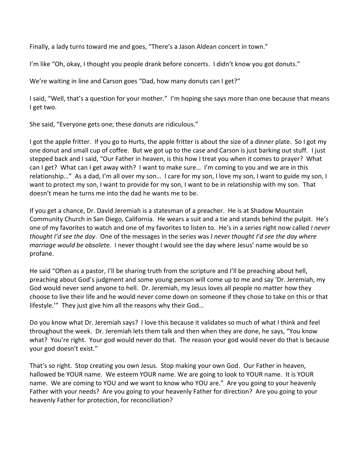Finally, a lady turns toward me and goes, "There's a Jason Aldean concert in town."

I'm like "Oh, okay, I thought you people drank before concerts. I didn't know you got donuts."

We're waiting in line and Carson goes "Dad, how many donuts can I get?"

I said, "Well, that's a question for your mother." I'm hoping she says more than one because that means I get two.

She said, "Everyone gets one; these donuts are ridiculous."

I got the apple fritter. If you go to Hurts, the apple fritter is about the size of a dinner plate. So I got my one donut and small cup of coffee. But we got up to the case and Carson is just barking out stuff. I just stepped back and I said, "Our Father in heaven, is this how I treat you when it comes to prayer? What can I get? What can I get away with? I want to make sure… I'm coming to you and we are in this relationship…" As a dad, I'm all over my son… I care for my son, I love my son, I want to guide my son, I want to protect my son, I want to provide for my son, I want to be in relationship with my son. That doesn't mean he turns me into the dad he wants me to be.

If you get a chance, Dr. David Jeremiah is a statesman of a preacher. He is at Shadow Mountain Community Church in San Diego, California. He wears a suit and a tie and stands behind the pulpit. He's one of my favorites to watch and one of my favorites to listen to. He's in a series right now called *I never thought I'd see the day*. One of the messages in the series was *I never thought I'd see the day where marriage would be obsolete.* I never thought I would see the day where Jesus' name would be so profane.

He said "Often as a pastor, I'll be sharing truth from the scripture and I'll be preaching about hell, preaching about God's judgment and some young person will come up to me and say 'Dr. Jeremiah, my God would never send anyone to hell. Dr. Jeremiah, my Jesus loves all people no matter how they choose to live their life and he would never come down on someone if they chose to take on this or that lifestyle.'" They just give him all the reasons why their God…

Do you know what Dr. Jeremiah says? I love this because it validates so much of what I think and feel throughout the week. Dr. Jeremiah lets them talk and then when they are done, he says, "You know what? You're right. Your god would never do that. The reason your god would never do that is because your god doesn't exist."

That's so right. Stop creating you own Jesus. Stop making your own God. Our Father in heaven, hallowed be YOUR name. We esteem YOUR name. We are going to look to YOUR name. It is YOUR name. We are coming to YOU and we want to know who YOU are." Are you going to your heavenly Father with your needs? Are you going to your heavenly Father for direction? Are you going to your heavenly Father for protection, for reconciliation?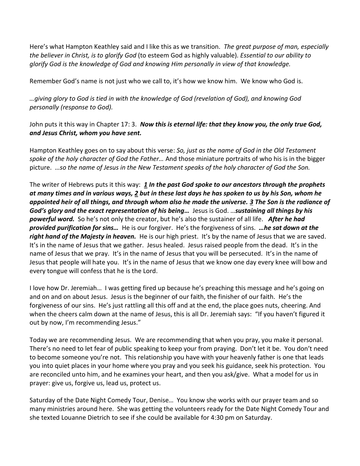Here's what Hampton Keathley said and I like this as we transition. *The great purpose of man, especially the believer in Christ, is to glorify God* (to esteem God as highly valuable)*. Essential to our ability to glorify God is the knowledge of God and knowing Him personally in view of that knowledge.*

Remember God's name is not just who we call to, it's how we know him. We know who God is.

*…giving glory to God is tied in with the knowledge of God (revelation of God), and knowing God personally (response to God).*

John puts it this way in Chapter 17: 3. *Now this is eternal life: that they know you, the only true God, and Jesus Christ, whom you have sent.*

Hampton Keathley goes on to say about this verse: *So, just as the name of God in the Old Testament spoke of the holy character of God the Father…* And those miniature portraits of who his is in the bigger picture. *…so the name of Jesus in the New Testament speaks of the holy character of God the Son.*

The writer of Hebrews puts it this way: *[1](http://www.studylight.org/desk/?q=heb%201:1&t1=en_niv&sr=1) In the past God spoke to our ancestors through the prophets at many times and in various ways[, 2](http://www.studylight.org/desk/?q=heb%201:2&t1=en_niv&sr=1) but in these last days he has spoken to us by his Son, whom he appointed heir of all things, and through whom also he made the universe. [3](http://www.studylight.org/desk/?q=heb%201:3&t1=en_niv&sr=1) The Son is the radiance of God's glory and the exact representation of his being…* Jesus is God. …*sustaining all things by his powerful word.* So he's not only the creator, but he's also the sustainer of all life. *After he had provided purification for sins…* He is our forgiver. He's the forgiveness of sins. *…he sat down at the right hand of the Majesty in heaven.* He is our high priest. It's by the name of Jesus that we are saved. It's in the name of Jesus that we gather. Jesus healed. Jesus raised people from the dead. It's in the name of Jesus that we pray. It's in the name of Jesus that you will be persecuted. It's in the name of Jesus that people will hate you. It's in the name of Jesus that we know one day every knee will bow and every tongue will confess that he is the Lord.

I love how Dr. Jeremiah… I was getting fired up because he's preaching this message and he's going on and on and on about Jesus. Jesus is the beginner of our faith, the finisher of our faith. He's the forgiveness of our sins. He's just rattling all this off and at the end, the place goes nuts, cheering. And when the cheers calm down at the name of Jesus, this is all Dr. Jeremiah says: "If you haven't figured it out by now, I'm recommending Jesus."

Today we are recommending Jesus. We are recommending that when you pray, you make it personal. There's no need to let fear of public speaking to keep your from praying. Don't let it be. You don't need to become someone you're not. This relationship you have with your heavenly father is one that leads you into quiet places in your home where you pray and you seek his guidance, seek his protection. You are reconciled unto him, and he examines your heart, and then you ask/give. What a model for us in prayer: give us, forgive us, lead us, protect us.

Saturday of the Date Night Comedy Tour, Denise… You know she works with our prayer team and so many ministries around here. She was getting the volunteers ready for the Date Night Comedy Tour and she texted Louanne Dietrich to see if she could be available for 4:30 pm on Saturday.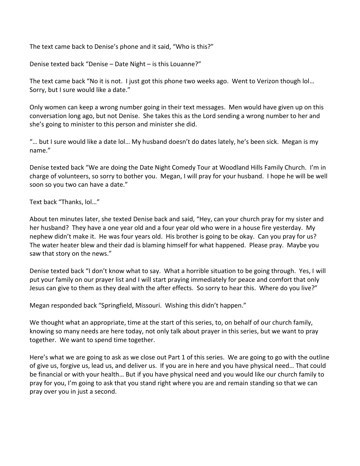The text came back to Denise's phone and it said, "Who is this?"

Denise texted back "Denise – Date Night – is this Louanne?"

The text came back "No it is not. I just got this phone two weeks ago. Went to Verizon though lol… Sorry, but I sure would like a date."

Only women can keep a wrong number going in their text messages. Men would have given up on this conversation long ago, but not Denise. She takes this as the Lord sending a wrong number to her and she's going to minister to this person and minister she did.

"… but I sure would like a date lol… My husband doesn't do dates lately, he's been sick. Megan is my name."

Denise texted back "We are doing the Date Night Comedy Tour at Woodland Hills Family Church. I'm in charge of volunteers, so sorry to bother you. Megan, I will pray for your husband. I hope he will be well soon so you two can have a date."

Text back "Thanks, lol…"

About ten minutes later, she texted Denise back and said, "Hey, can your church pray for my sister and her husband? They have a one year old and a four year old who were in a house fire yesterday. My nephew didn't make it. He was four years old. His brother is going to be okay. Can you pray for us? The water heater blew and their dad is blaming himself for what happened. Please pray. Maybe you saw that story on the news."

Denise texted back "I don't know what to say. What a horrible situation to be going through. Yes, I will put your family on our prayer list and I will start praying immediately for peace and comfort that only Jesus can give to them as they deal with the after effects. So sorry to hear this. Where do you live?"

Megan responded back "Springfield, Missouri. Wishing this didn't happen."

We thought what an appropriate, time at the start of this series, to, on behalf of our church family, knowing so many needs are here today, not only talk about prayer in this series, but we want to pray together. We want to spend time together.

Here's what we are going to ask as we close out Part 1 of this series. We are going to go with the outline of give us, forgive us, lead us, and deliver us. If you are in here and you have physical need… That could be financial or with your health… But if you have physical need and you would like our church family to pray for you, I'm going to ask that you stand right where you are and remain standing so that we can pray over you in just a second.